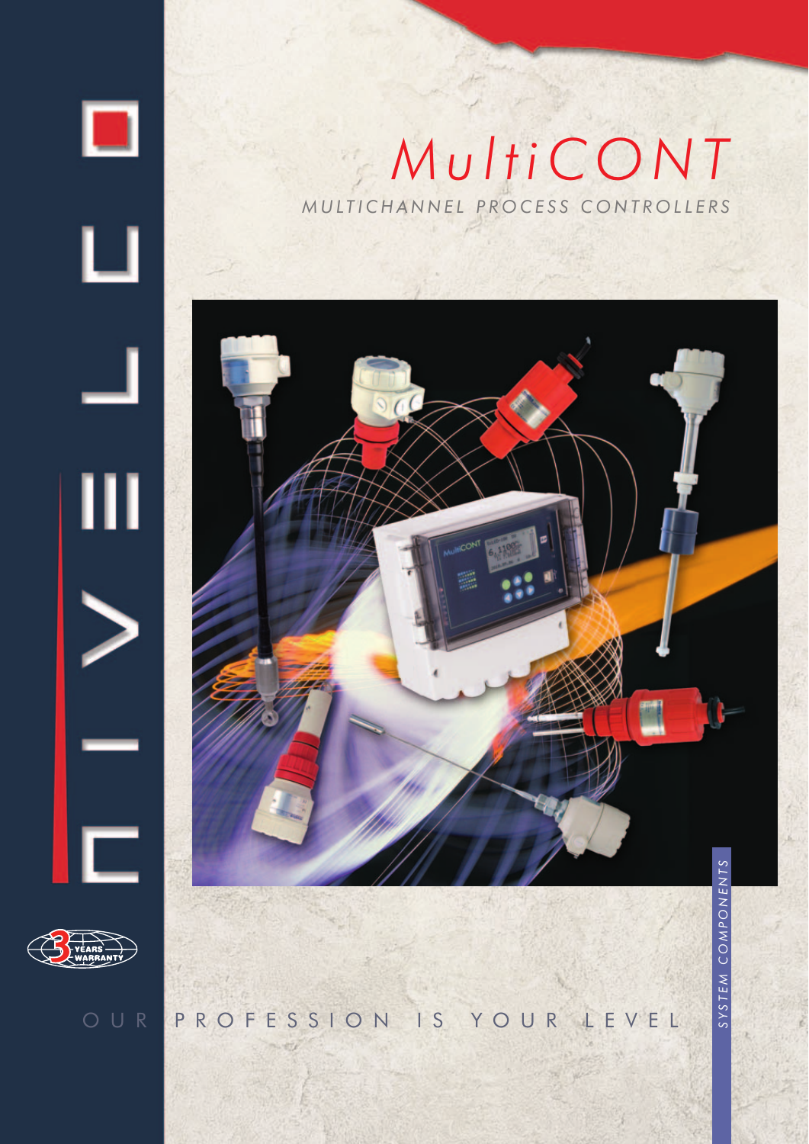

Ц

Ш

# *MultiCONT MULTICHANNEL PROCESS CONTROLLERS*





┍

OUR PROFESSION IS YOUR LEVEL

SYSTEM COMPONENTS *SYSTEM COMPONENTS*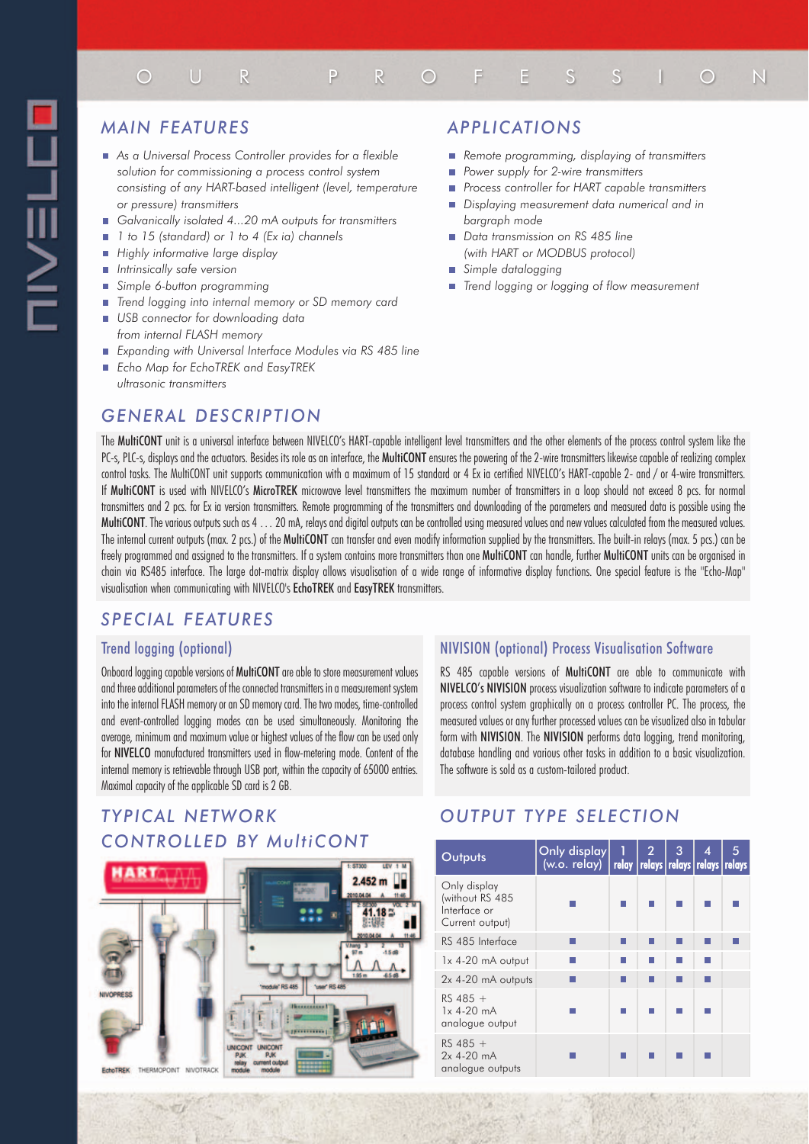# OUR PROFESSION

# *MAIN FEATURES*

- *As a Universal Process Controller provides for a flexible solution for commissioning a process control system consisting of any HART-based intelligent (level, temperature or pressure) transmitters*
- *Galvanically isolated 4...20 mA outputs for transmitters* É
- *1 to 15 (standard) or 1 to 4 (Ex ia) channels*
- $\overline{\mathbf{u}}$ *Highly informative large display*
- П *Intrinsically safe version*
- *Simple 6-button programming* Ē.
- $\Box$ *Trend logging into internal memory or SD memory card*
- *USB connector for downloading data from internal FLASH memory*
- *Expanding with Universal Interface Modules via RS 485 line*
- *Echo Map for EchoTREK and EasyTREK ultrasonic transmitters*

# *GENERAL DESCRIPTION*

### *APPLICATIONS*

- *Remote programming, displaying of transmitters*
- Ē. *Power supply for 2-wire transmitters*
- *Process controller for HART capable transmitters*
- *Displaying measurement data numerical and in bargraph mode*
- *Data transmission on RS 485 line (with HART or MODBUS protocol)*
- *Simple datalogging*
- *Trend logging or logging of flow measurement*

The MultiCONT unit is a universal interface between NIVELCO's HART-capable intelligent level transmitters and the other elements of the process control system like the PC-s, PLC-s, displays and the actuators. Besides its role as an interface, the MultiCONT ensures the powering of the 2-wire transmitters likewise capable of realizing complex control tasks. The MultiCONT unit supports communication with a maximum of 15 standard or 4 Ex ia certified NIVELCO's HART-capable 2- and / or 4-wire transmitters. If MultiCONT is used with NIVELCO's MicroTREK microwave level transmitters the maximum number of transmitters in a loop should not exceed 8 pcs. for normal transmitters and 2 pcs. for Ex ia version transmitters. Remote programming of the transmitters and downloading of the parameters and measured data is possible using the MultiCONT. The various outputs such as 4 . . . 20 mA, relays and digital outputs can be controlled using measured values and new values calculated from the measured values. The internal current outputs (max. 2 pcs.) of the MultiCONT can transfer and even modify information supplied by the transmitters. The built-in relays (max. 5 pcs.) can be freely programmed and assigned to the transmitters. If a system contains more transmitters than one MultiCONT can handle, further MultiCONT units can be organised in chain via RS485 interface. The large dot-matrix display allows visualisation of a wide range of informative display functions. One special feature is the "Echo-Map" visualisation when communicating with NIVELCO's EchoTREK and EasyTREK transmitters.

# *SPECIAL FEATURES*

#### Trend logging (optional)

47

Onboard logging capable versions of MultiCONT are able to store measurement values and three additional parameters of the connected transmitters in a measurement system into the internal FLASH memory or an SD memory card. The two modes, time-controlled and event-controlled logging modes can be used simultaneously. Monitoring the average, minimum and maximum value or highest values of the flow can be used only for NIVELCO manufactured transmitters used in flow-metering mode. Content of the internal memory is retrievable through USB port, within the capacity of 65000 entries. Maximal capacity of the applicable SD card is 2 GB.

# *TYPICAL NETWORK CONTROLLED BY MultiCONT*



#### NIVISION (optional) Process Visualisation Software

RS 485 capable versions of MultiCONT are able to communicate with NIVELCO's NIVISION process visualization software to indicate parameters of a process control system graphically on a process controller PC. The process, the measured values or any further processed values can be visualized also in tabular form with NIVISION. The NIVISION performs data logging, trend monitoring, database handling and various other tasks in addition to a basic visualization. The software is sold as a custom-tailored product.

# *OUTPUT TYPE SELECTION*

| Outputs                                                            | Only display<br>(w.o. relay)   relay   relays   relays   relays   relays | - 1 | 2 <sup>7</sup> | 3 | 4 | 5 |
|--------------------------------------------------------------------|--------------------------------------------------------------------------|-----|----------------|---|---|---|
| Only display<br>(without RS 485<br>Interface or<br>Current output) |                                                                          |     |                |   |   |   |
| RS 485 Interface                                                   |                                                                          |     |                |   |   |   |
| $1x$ 4-20 mA output                                                |                                                                          |     |                |   |   |   |
| 2x 4-20 mA outputs                                                 |                                                                          |     |                |   |   |   |
| $RS$ 485 +<br>$1x$ 4-20 $mA$<br>analogue output                    |                                                                          |     |                |   |   |   |
| $RS$ 485 +<br>$2x$ 4-20 mA<br>analogue outputs                     |                                                                          |     |                |   |   |   |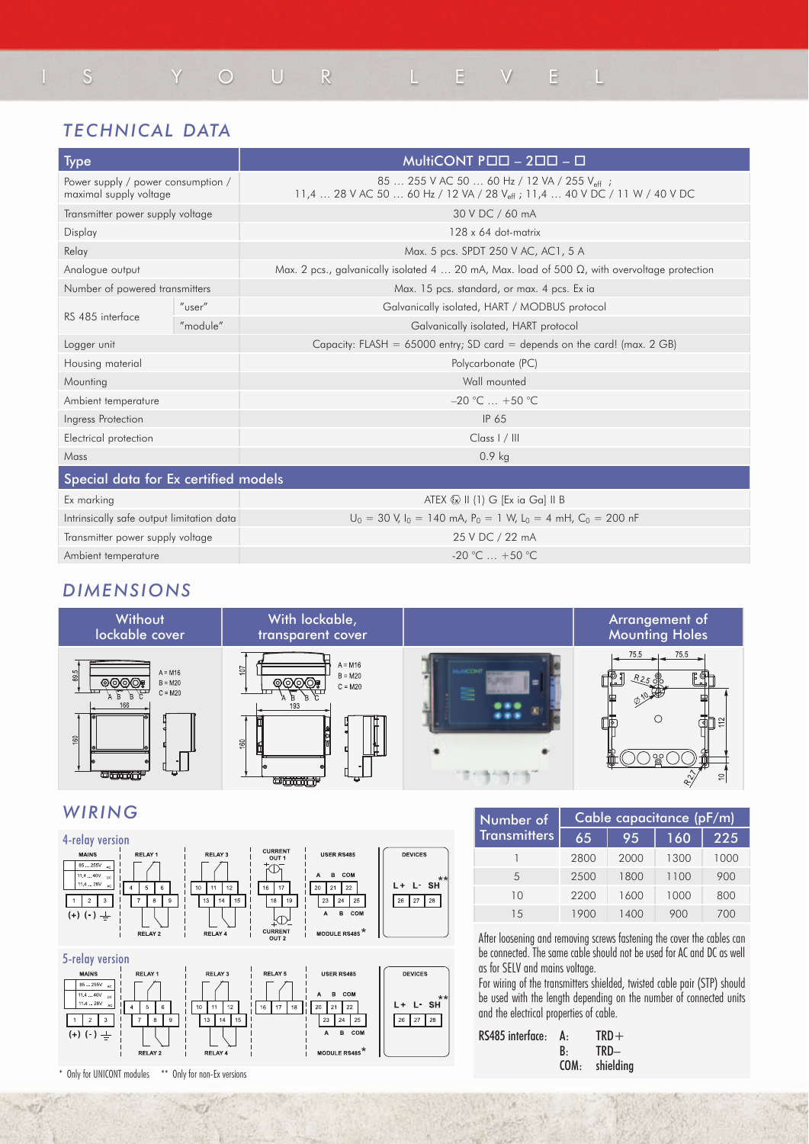# IS YOUR LEVEL

# *TECHNICAL DATA*

| <b>Type</b>                                                  |           | MultiCONT POD - 200 - 0                                                                                                                           |
|--------------------------------------------------------------|-----------|---------------------------------------------------------------------------------------------------------------------------------------------------|
| Power supply / power consumption /<br>maximal supply voltage |           | 85  255 V AC 50  60 Hz / 12 VA / 255 V <sub>eff</sub> ;<br>11,4  28 V AC 50  60 Hz / 12 VA / 28 V <sub>eff</sub> ; 11,4  40 V DC / 11 W / 40 V DC |
| Transmitter power supply voltage                             |           | 30 V DC / 60 mA                                                                                                                                   |
| Display                                                      |           | $128 \times 64$ dot-matrix                                                                                                                        |
| Relay                                                        |           | Max. 5 pcs. SPDT 250 V AC, AC1, 5 A                                                                                                               |
| Analogue output                                              |           | Max. 2 pcs., galvanically isolated 4  20 mA, Max. load of 500 $\Omega$ , with overvoltage protection                                              |
| Number of powered transmitters                               |           | Max. 15 pcs. standard, or max. 4 pcs. Ex ia                                                                                                       |
| RS 485 interface                                             | $"$ user" | Galvanically isolated, HART / MODBUS protocol                                                                                                     |
|                                                              | "module"  | Galvanically isolated, HART protocol                                                                                                              |
| Logger unit                                                  |           | Capacity: FLASH = $65000$ entry; SD card = depends on the card! (max. 2 GB)                                                                       |
| Housing material                                             |           | Polycarbonate (PC)                                                                                                                                |
| Mounting                                                     |           | Wall mounted                                                                                                                                      |
| Ambient temperature                                          |           | $-20$ °C $ +50$ °C                                                                                                                                |
| Ingress Protection                                           |           | IP 65                                                                                                                                             |
| Electrical protection                                        |           | Class I / III                                                                                                                                     |
| Mass                                                         |           | 0.9 <sub>kg</sub>                                                                                                                                 |
| Special data for Ex certified models                         |           |                                                                                                                                                   |
| Ex marking                                                   |           | ATEX $\textcircled{2}$ II (1) G [Ex ia Ga] II B                                                                                                   |
| Intrinsically safe output limitation data                    |           | $U_0 = 30$ V, $I_0 = 140$ mA, $P_0 = 1$ W, $L_0 = 4$ mH, $C_0 = 200$ nF                                                                           |
| Transmitter power supply voltage                             |           | 25 V DC / 22 mA                                                                                                                                   |
| Ambient temperature                                          |           | $-20$ °C $+50$ °C                                                                                                                                 |

# *DIMENSIONS*



#### *WIRING*



| <b>MAINS</b>                                                            | RELAY <sub>1</sub>                      | RELAY 3                                     | <b>RELAY 5</b> | <b>USER RS485</b>                                                                                       | <b>DEVICES</b>                        |
|-------------------------------------------------------------------------|-----------------------------------------|---------------------------------------------|----------------|---------------------------------------------------------------------------------------------------------|---------------------------------------|
| 85255V<br>AC.<br>11.440V<br><b>DC</b><br>11.428V<br>AC<br>(+) (-) $\pm$ | 5<br>6<br>4<br>9<br>8<br><b>RELAY 2</b> | 12<br>10<br>11<br>15<br>13<br>14<br>RELAY 4 | 17<br>18<br>16 | B COM<br>$\mathsf{A}$<br>22<br>21<br>20<br>23<br>24<br>25<br>COM<br>в<br>А<br>MODULE RS485 <sup>*</sup> | $***$<br>L SH<br>L+<br>26<br>28<br>27 |

| Number of           |      | Cable capacitance (pF/m) |      |      |
|---------------------|------|--------------------------|------|------|
| <b>Transmitters</b> | 65   | $95^{\circ}$             | 160  | 225  |
|                     | 2800 | 2000                     | 1300 | 1000 |
| 5                   | 2500 | 1800                     | 1100 | 900  |
| 10                  | 2200 | 1600                     | 1000 | 800  |
| 1.5                 | 1900 | 1400                     | 900  | 700  |

After loosening and removing screws fastening the cover the cables can be connected. The same cable should not be used for AC and DC as well as for SELV and mains voltage.

For wiring of the transmitters shielded, twisted cable pair (STP) should be used with the length depending on the number of connected units and the electrical properties of cable.

387

| RS485 interface: A: |    | $TRD+$         |
|---------------------|----|----------------|
|                     | B٠ | TRD-           |
|                     |    | COM: shielding |

\* Only for UNICONT modules \*\* Only for non-Ex versions

 $-21$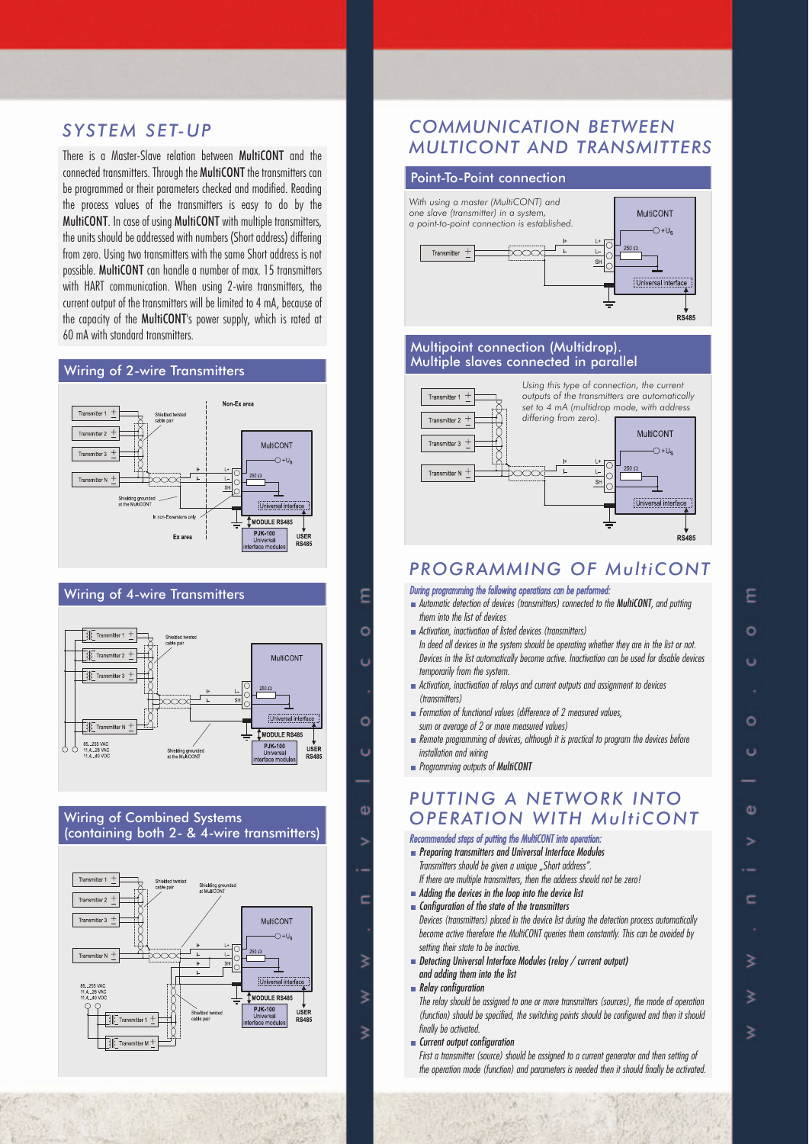### *SYSTEM SET-UP*

There is a Master-Slave relation between MultiCONT and the connected transmitters. Through the MultiCONT the transmitters can be programmed or their parameters checked and modified. Reading the process values of the transmitters is easy to do by the MultiCONT. In case of using MultiCONT with multiple transmitters, the units should be addressed with numbers (Short address) differing from zero. Using two transmitters with the same Short address is not possible. MultiCONT can handle a number of max. 15 transmitters with HART communication. When using 2-wire transmitters, the current output of the transmitters will be limited to 4 mA, because of the capacity of the MultiCONT's power supply, which is rated at 60 mA with standard transmitters.

#### Wiring of 2-wire Transmitters



#### Wiring of 4-wire Transmitters







# *COMMUNICATION BETWEEN MULTICONT AND TRANSMITTERS*

MultiCONT

#### Point-To-Point connection

*With using a master (MultiCONT) and one slave (transmitter) in a system, a point-to-point connection is established.*



#### Multipoint connection (Multidrop). Multiple slaves connected in parallel



### *PROGRAMMING OF MultiCONT*

#### *During programming the following operations can be performed:*

- *Automatic detection of devices (transmitters) connected to the MultiCONT*, and putting *them into the list of devices*
- *Activation, inactivation of listed devices (transmitters) In deed all devices in the system should be operating whether they are in the list or not. Devices in the list automatically become active. Inactivation can be used for disable devices temporarily from the system.*
- *Activation, inactivation of relays and current outputs and assignment to devices (transmitters)*
- *Formation of functional values (difference of 2 measured values, sum or average of 2 or more measured values)*
- *Remote programming of devices, although it is practical to program the devices before installation and wiring*
- *Programming outputs of MultiCONT*

 $\overline{c}$ 

 $\overline{c}$ 

Φ

c

₹

# *PUTTING A NETWORK INTO OPERATION WITH MultiCONT*

*Recommended steps of putting the MultiCONT into operation: Preparing transmitters and Universal Interface Modules Transmitters should be given a unique "Short address". If there are multiple transmitters, then the address should not be zero!*

- *Adding the devices in the loop into the device list*
- *Configuration of the state of the transmitters Devices (transmitters) placed in the device list during the detection process automatically become active therefore the MultiCONT queries them constantly. This can be avoided by setting their state to be inactive.*
- *Detecting Universal Interface Modules (relay / current output) and adding them into the list*

As.

*Relay configuration*

*The relay should be assigned to one or more transmitters (sources), the mode of operation (function) should be specified, the switching points should be configured and then it should finally be activated.*

*Current output configuration*

*First a transmitter (source) should be assigned to a current generator and then setting of the operation mode (function) and parameters is needed then it should finally be activated.*